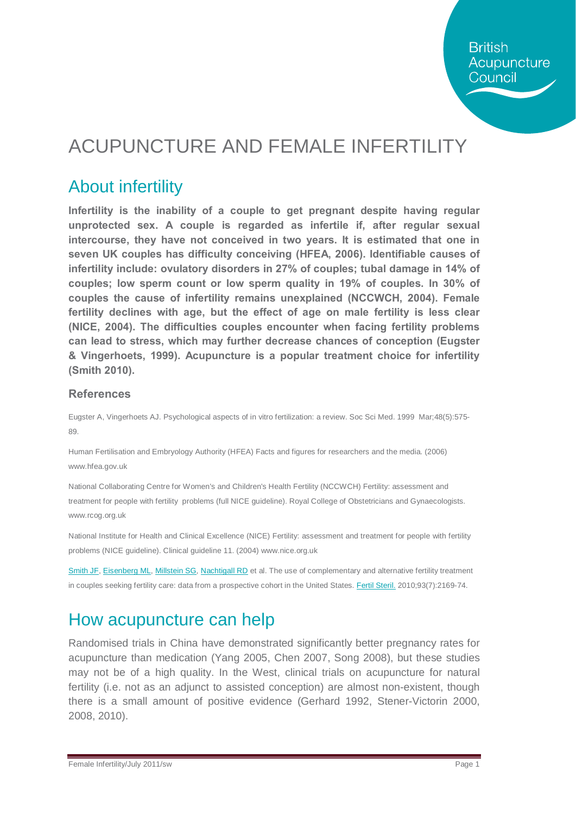## ACUPUNCTURE AND FEMALE INFERTILITY

### About infertility

**Infertility is the inability of a couple to get pregnant despite having regular unprotected sex. A couple is regarded as infertile if, after regular sexual intercourse, they have not conceived in two years. It is estimated that one in seven UK couples has difficulty conceiving (HFEA, 2006). Identifiable causes of infertility include: ovulatory disorders in 27% of couples; tubal damage in 14% of couples; low sperm count or low sperm quality in 19% of couples. In 30% of couples the cause of infertility remains unexplained (NCCWCH, 2004). Female fertility declines with age, but the effect of age on male fertility is less clear (NICE, 2004). The difficulties couples encounter when facing fertility problems can lead to stress, which may further decrease chances of conception (Eugster & Vingerhoets, 1999). Acupuncture is a popular treatment choice for infertility (Smith 2010).**

#### **References**

Eugster A, Vingerhoets AJ. Psychological aspects of in vitro fertilization: a review. Soc Sci Med. 1999 Mar;48(5):575- 89.

Human Fertilisation and Embryology Authority (HFEA) Facts and figures for researchers and the media. (2006) www.hfea.gov.uk

National Collaborating Centre for Women's and Children's Health Fertility (NCCWCH) Fertility: assessment and treatment for people with fertility problems (full NICE guideline). Royal College of Obstetricians and Gynaecologists. www.rcog.org.uk

National Institute for Health and Clinical Excellence (NICE) Fertility: assessment and treatment for people with fertility problems (NICE guideline). Clinical guideline 11. (2004) www.nice.org.uk

[Smith JF,](http://www.ncbi.nlm.nih.gov/pubmed?term=%22Smith%20JF%22%5BAuthor%5D) [Eisenberg ML,](http://www.ncbi.nlm.nih.gov/pubmed?term=%22Eisenberg%20ML%22%5BAuthor%5D) [Millstein SG,](http://www.ncbi.nlm.nih.gov/pubmed?term=%22Millstein%20SG%22%5BAuthor%5D) [Nachtigall RD](http://www.ncbi.nlm.nih.gov/pubmed?term=%22Nachtigall%20RD%22%5BAuthor%5D) et al. The use of complementary and alternative fertility treatment in couples seeking fertility care: data from a prospective cohort in the United States. Fertil Steril. 2010;93(7):2169-74.

#### How acupuncture can help

Randomised trials in China have demonstrated significantly better pregnancy rates for acupuncture than medication (Yang 2005, Chen 2007, Song 2008), but these studies may not be of a high quality. In the West, clinical trials on acupuncture for natural fertility (i.e. not as an adjunct to assisted conception) are almost non-existent, though there is a small amount of positive evidence (Gerhard 1992, Stener-Victorin 2000, 2008, 2010).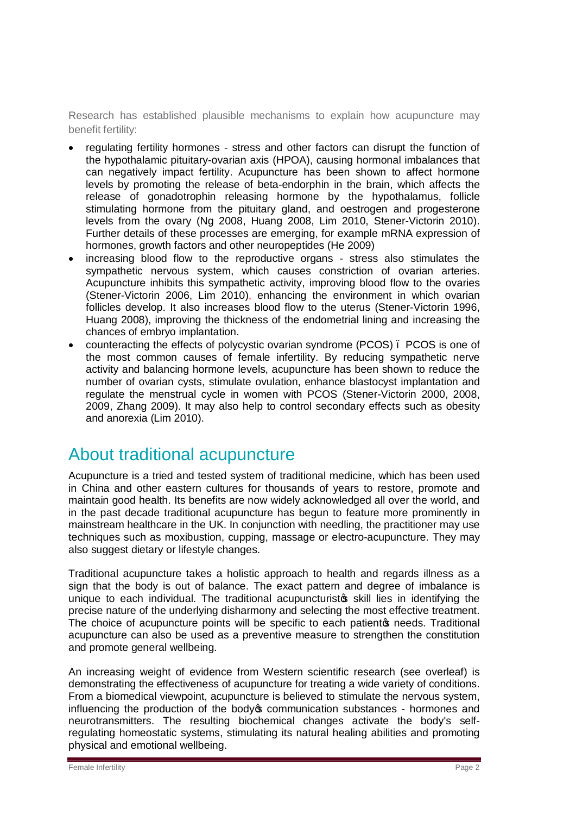Research has established plausible mechanisms to explain how acupuncture may benefit fertility:

- · regulating fertility hormones stress and other factors can disrupt the function of the hypothalamic pituitary-ovarian axis (HPOA), causing hormonal imbalances that can negatively impact fertility. Acupuncture has been shown to affect hormone levels by promoting the release of beta-endorphin in the brain, which affects the release of gonadotrophin releasing hormone by the hypothalamus, follicle stimulating hormone from the pituitary gland, and oestrogen and progesterone levels from the ovary (Ng 2008, Huang 2008, Lim 2010, Stener-Victorin 2010). Further details of these processes are emerging, for example mRNA expression of hormones, growth factors and other neuropeptides (He 2009)
- · increasing blood flow to the reproductive organs stress also stimulates the sympathetic nervous system, which causes constriction of ovarian arteries. Acupuncture inhibits this sympathetic activity, improving blood flow to the ovaries (Stener-Victorin 2006, Lim 2010), enhancing the environment in which ovarian follicles develop. It also increases blood flow to the uterus (Stener-Victorin 1996, Huang 2008), improving the thickness of the endometrial lining and increasing the chances of embryo implantation.
- · counteracting the effects of polycystic ovarian syndrome (PCOS) PCOS is one of the most common causes of female infertility. By reducing sympathetic nerve activity and balancing hormone levels, acupuncture has been shown to reduce the number of ovarian cysts, stimulate ovulation, enhance blastocyst implantation and regulate the menstrual cycle in women with PCOS (Stener-Victorin 2000, 2008, 2009, Zhang 2009). It may also help to control secondary effects such as obesity and anorexia (Lim 2010).

#### About traditional acupuncture

Acupuncture is a tried and tested system of traditional medicine, which has been used in China and other eastern cultures for thousands of years to restore, promote and maintain good health. Its benefits are now widely acknowledged all over the world, and in the past decade traditional acupuncture has begun to feature more prominently in mainstream healthcare in the UK. In conjunction with needling, the practitioner may use techniques such as moxibustion, cupping, massage or electro-acupuncture. They may also suggest dietary or lifestyle changes.

Traditional acupuncture takes a holistic approach to health and regards illness as a sign that the body is out of balance. The exact pattern and degree of imbalance is unique to each individual. The traditional acupuncturistos skill lies in identifying the precise nature of the underlying disharmony and selecting the most effective treatment. The choice of acupuncture points will be specific to each patient to needs. Traditional acupuncture can also be used as a preventive measure to strengthen the constitution and promote general wellbeing.

An increasing weight of evidence from Western scientific research (see overleaf) is demonstrating the effectiveness of acupuncture for treating a wide variety of conditions. From a biomedical viewpoint, acupuncture is believed to stimulate the nervous system, influencing the production of the body's communication substances - hormones and neurotransmitters. The resulting biochemical changes activate the body's selfregulating homeostatic systems, stimulating its natural healing abilities and promoting physical and emotional wellbeing.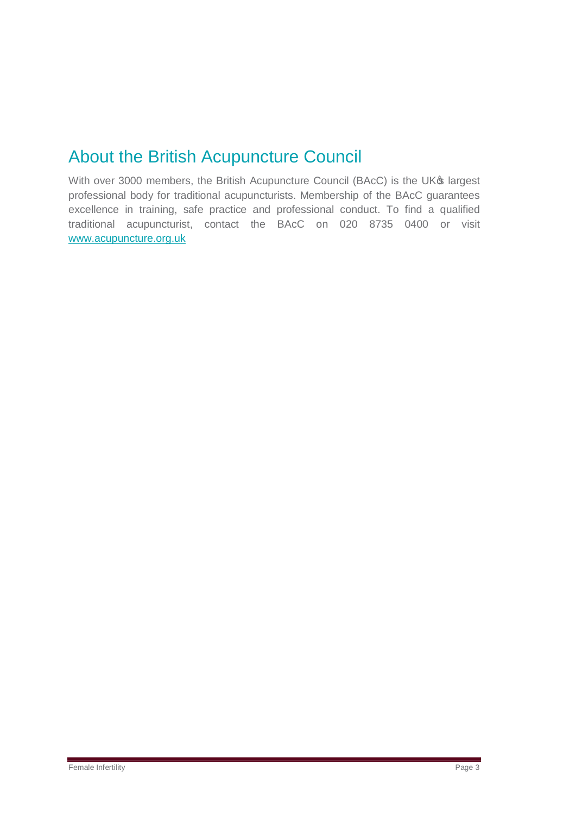### About the British Acupuncture Council

With over 3000 members, the British Acupuncture Council (BAcC) is the UK® largest professional body for traditional acupuncturists. Membership of the BAcC guarantees excellence in training, safe practice and professional conduct. To find a qualified traditional acupuncturist, contact the BAcC on 020 8735 0400 or visit [www.acupuncture.org.uk](http://www.acupuncture.org.uk/)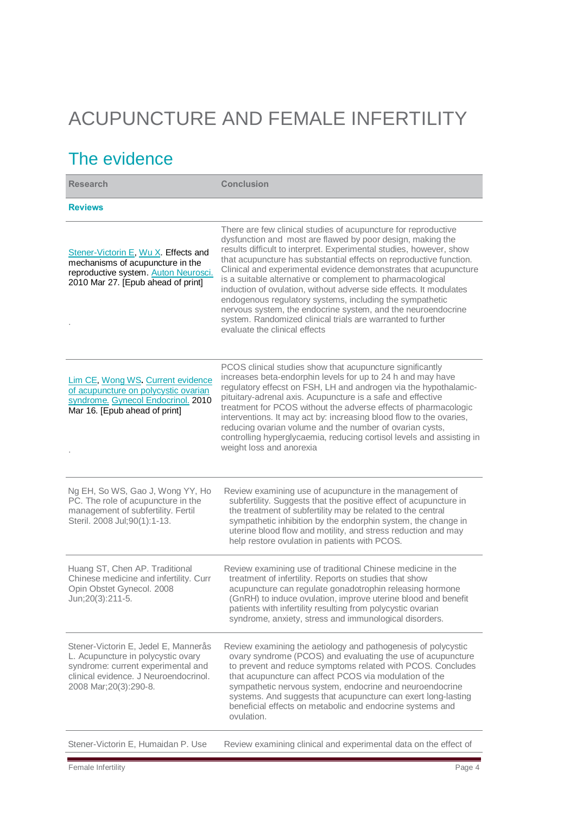# ACUPUNCTURE AND FEMALE INFERTILITY

## The evidence

| <b>Research</b>                                                                                                                                                                      | <b>Conclusion</b>                                                                                                                                                                                                                                                                                                                                                                                                                                                                                                                                                                                                                                                                                             |
|--------------------------------------------------------------------------------------------------------------------------------------------------------------------------------------|---------------------------------------------------------------------------------------------------------------------------------------------------------------------------------------------------------------------------------------------------------------------------------------------------------------------------------------------------------------------------------------------------------------------------------------------------------------------------------------------------------------------------------------------------------------------------------------------------------------------------------------------------------------------------------------------------------------|
| <b>Reviews</b>                                                                                                                                                                       |                                                                                                                                                                                                                                                                                                                                                                                                                                                                                                                                                                                                                                                                                                               |
| Stener-Victorin E, Wu X. Effects and<br>mechanisms of acupuncture in the<br>reproductive system. Auton Neurosci.<br>2010 Mar 27. [Epub ahead of print]                               | There are few clinical studies of acupuncture for reproductive<br>dysfunction and most are flawed by poor design, making the<br>results difficult to interpret. Experimental studies, however, show<br>that acupuncture has substantial effects on reproductive function.<br>Clinical and experimental evidence demonstrates that acupuncture<br>is a suitable alternative or complement to pharmacological<br>induction of ovulation, without adverse side effects. It modulates<br>endogenous regulatory systems, including the sympathetic<br>nervous system, the endocrine system, and the neuroendocrine<br>system. Randomized clinical trials are warranted to further<br>evaluate the clinical effects |
| Lim CE, Wong WS. Current evidence<br>of acupuncture on polycystic ovarian<br>syndrome. Gynecol Endocrinol. 2010<br>Mar 16. [Epub ahead of print]                                     | PCOS clinical studies show that acupuncture significantly<br>increases beta-endorphin levels for up to 24 h and may have<br>regulatory effecst on FSH, LH and androgen via the hypothalamic-<br>pituitary-adrenal axis. Acupuncture is a safe and effective<br>treatment for PCOS without the adverse effects of pharmacologic<br>interventions. It may act by: increasing blood flow to the ovaries,<br>reducing ovarian volume and the number of ovarian cysts,<br>controlling hyperglycaemia, reducing cortisol levels and assisting in<br>weight loss and anorexia                                                                                                                                        |
| Ng EH, So WS, Gao J, Wong YY, Ho<br>PC. The role of acupuncture in the<br>management of subfertility. Fertil<br>Steril. 2008 Jul;90(1):1-13.                                         | Review examining use of acupuncture in the management of<br>subfertility. Suggests that the positive effect of acupuncture in<br>the treatment of subfertility may be related to the central<br>sympathetic inhibition by the endorphin system, the change in<br>uterine blood flow and motility, and stress reduction and may<br>help restore ovulation in patients with PCOS.                                                                                                                                                                                                                                                                                                                               |
| Huang ST, Chen AP. Traditional<br>Chinese medicine and infertility. Curr<br>Opin Obstet Gynecol. 2008<br>Jun;20(3):211-5.                                                            | Review examining use of traditional Chinese medicine in the<br>treatment of infertility. Reports on studies that show<br>acupuncture can regulate gonadotrophin releasing hormone<br>(GnRH) to induce ovulation, improve uterine blood and benefit<br>patients with infertility resulting from polycystic ovarian<br>syndrome, anxiety, stress and immunological disorders.                                                                                                                                                                                                                                                                                                                                   |
| Stener-Victorin E, Jedel E, Mannerås<br>L. Acupuncture in polycystic ovary<br>syndrome: current experimental and<br>clinical evidence. J Neuroendocrinol.<br>2008 Mar; 20(3): 290-8. | Review examining the aetiology and pathogenesis of polycystic<br>ovary syndrome (PCOS) and evaluating the use of acupuncture<br>to prevent and reduce symptoms related with PCOS. Concludes<br>that acupuncture can affect PCOS via modulation of the<br>sympathetic nervous system, endocrine and neuroendocrine<br>systems. And suggests that acupuncture can exert long-lasting<br>beneficial effects on metabolic and endocrine systems and<br>ovulation.                                                                                                                                                                                                                                                 |
| Stener-Victorin E, Humaidan P. Use                                                                                                                                                   | Review examining clinical and experimental data on the effect of                                                                                                                                                                                                                                                                                                                                                                                                                                                                                                                                                                                                                                              |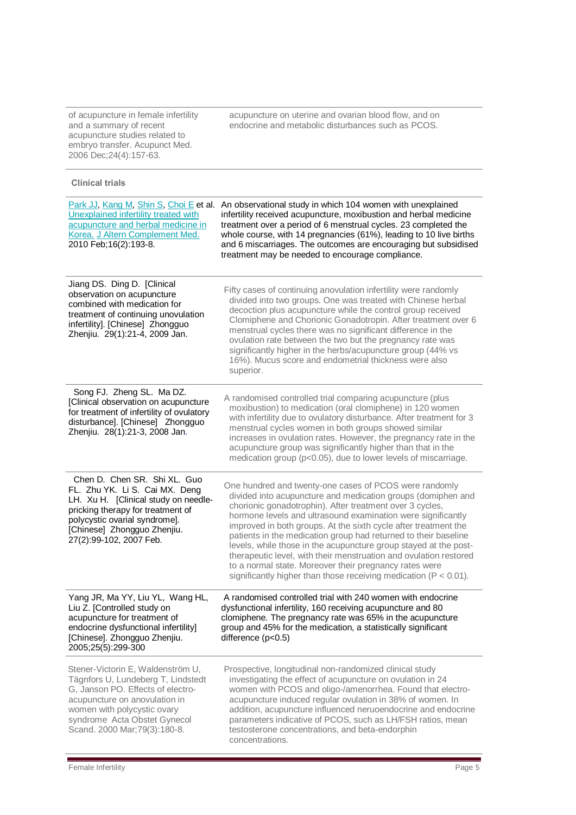of acupuncture in female infertility and a summary of recent acupuncture studies related to embryo transfer. Acupunct Med. 2006 Dec;24(4):157-63.

acupuncture on uterine and ovarian blood flow, and on endocrine and metabolic disturbances such as PCOS.

**Clinical trials**

| Unexplained infertility treated with<br>acupuncture and herbal medicine in<br>Korea. J Altern Complement Med.<br>2010 Feb; 16(2): 193-8.                                                                                                       | Park JJ, Kang M, Shin S, Choi E et al. An observational study in which 104 women with unexplained<br>infertility received acupuncture, moxibustion and herbal medicine<br>treatment over a period of 6 menstrual cycles. 23 completed the<br>whole course, with 14 pregnancies (61%), leading to 10 live births<br>and 6 miscarriages. The outcomes are encouraging but subsidised<br>treatment may be needed to encourage compliance.                                                                                                                                                                                                                              |
|------------------------------------------------------------------------------------------------------------------------------------------------------------------------------------------------------------------------------------------------|---------------------------------------------------------------------------------------------------------------------------------------------------------------------------------------------------------------------------------------------------------------------------------------------------------------------------------------------------------------------------------------------------------------------------------------------------------------------------------------------------------------------------------------------------------------------------------------------------------------------------------------------------------------------|
| Jiang DS. Ding D. [Clinical<br>observation on acupuncture<br>combined with medication for<br>treatment of continuing unovulation<br>infertility]. [Chinese] Zhongguo<br>Zhenjiu. 29(1):21-4, 2009 Jan.                                         | Fifty cases of continuing anovulation infertility were randomly<br>divided into two groups. One was treated with Chinese herbal<br>decoction plus acupuncture while the control group received<br>Clomiphene and Chorionic Gonadotropin. After treatment over 6<br>menstrual cycles there was no significant difference in the<br>ovulation rate between the two but the pregnancy rate was<br>significantly higher in the herbs/acupuncture group (44% vs<br>16%). Mucus score and endometrial thickness were also<br>superior.                                                                                                                                    |
| Song FJ. Zheng SL. Ma DZ.<br>[Clinical observation on acupuncture<br>for treatment of infertility of ovulatory<br>disturbance]. [Chinese] Zhongguo<br>Zhenjiu. 28(1):21-3, 2008 Jan.                                                           | A randomised controlled trial comparing acupuncture (plus<br>moxibustion) to medication (oral clomiphene) in 120 women<br>with infertility due to ovulatory disturbance. After treatment for 3<br>menstrual cycles women in both groups showed similar<br>increases in ovulation rates. However, the pregnancy rate in the<br>acupuncture group was significantly higher than that in the<br>medication group (p<0.05), due to lower levels of miscarriage.                                                                                                                                                                                                         |
| Chen D. Chen SR. Shi XL. Guo<br>FL. Zhu YK. Li S. Cai MX. Deng<br>LH. Xu H. [Clinical study on needle-<br>pricking therapy for treatment of<br>polycystic ovarial syndrome].<br>[Chinese] Zhongguo Zhenjiu.<br>27(2):99-102, 2007 Feb.         | One hundred and twenty-one cases of PCOS were randomly<br>divided into acupuncture and medication groups (domiphen and<br>chorionic gonadotrophin). After treatment over 3 cycles,<br>hormone levels and ultrasound examination were significantly<br>improved in both groups. At the sixth cycle after treatment the<br>patients in the medication group had returned to their baseline<br>levels, while those in the acupuncture group stayed at the post-<br>therapeutic level, with their menstruation and ovulation restored<br>to a normal state. Moreover their pregnancy rates were<br>significantly higher than those receiving medication ( $P < 0.01$ ). |
| Yang JR, Ma YY, Liu YL, Wang HL,<br>Liu Z. [Controlled study on<br>acupuncture for treatment of<br>endocrine dysfunctional infertility]<br>[Chinese]. Zhongguo Zhenjiu.<br>2005;25(5):299-300                                                  | A randomised controlled trial with 240 women with endocrine<br>dysfunctional infertility, 160 receiving acupuncture and 80<br>clomiphene. The pregnancy rate was 65% in the acupuncture<br>group and 45% for the medication, a statistically significant<br>difference $(p<0.5)$                                                                                                                                                                                                                                                                                                                                                                                    |
| Stener-Victorin E, Waldenström U,<br>Tägnfors U, Lundeberg T, Lindstedt<br>G, Janson PO. Effects of electro-<br>acupuncture on anovulation in<br>women with polycystic ovary<br>syndrome Acta Obstet Gynecol<br>Scand. 2000 Mar; 79(3): 180-8. | Prospective, longitudinal non-randomized clinical study<br>investigating the effect of acupuncture on ovulation in 24<br>women with PCOS and oligo-/amenorrhea. Found that electro-<br>acupuncture induced regular ovulation in 38% of women. In<br>addition, acupuncture influenced neruoendocrine and endocrine<br>parameters indicative of PCOS, such as LH/FSH ratios, mean<br>testosterone concentrations, and beta-endorphin<br>concentrations.                                                                                                                                                                                                               |